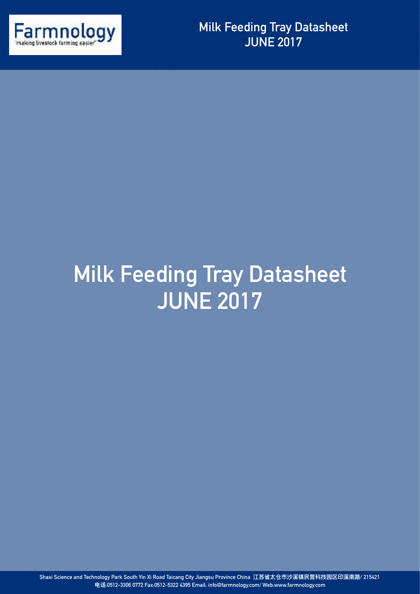

## **Milk Feeding Tray Datasheet JUNE 2017**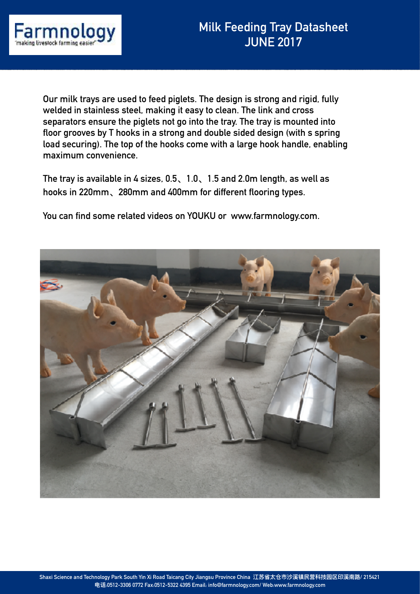

**Our milk trays are used to feed piglets. The design is strong and rigid, fully welded in stainless steel, making it easy to clean. The link and cross separators ensure the piglets not go into the tray. The tray is mounted into floor grooves by T hooks in a strong and double sided design (with s spring load securing). The top of the hooks come with a large hook handle, enabling maximum convenience.** 

**The tray is available in 4 sizes, 0.5、1.0、1.5 and 2.0m length, as well as hooks in 220mm、280mm and 400mm for different flooring types.** 

**You can find some related videos on YOUKU or www.farmnology.com.**